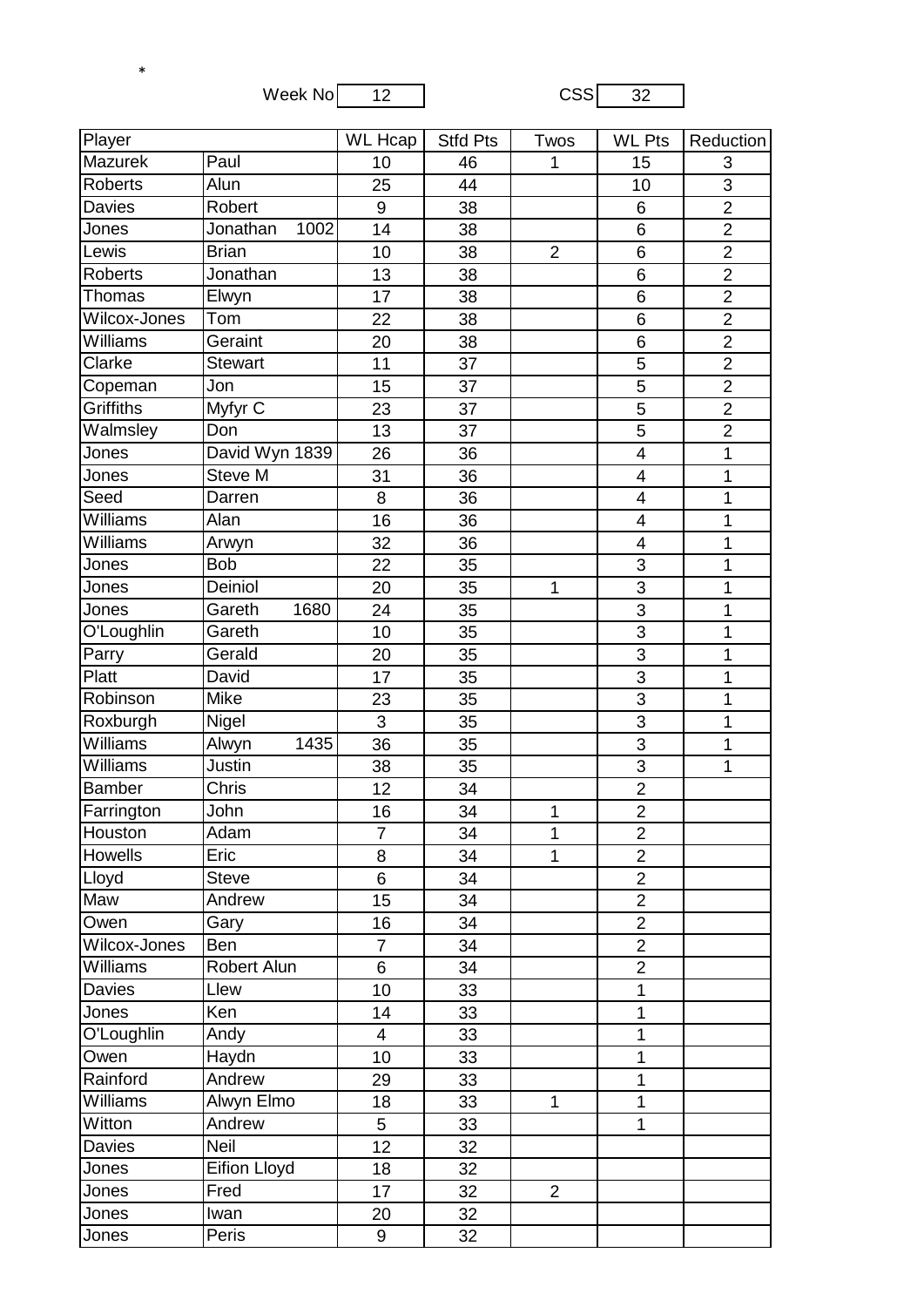Week No 12 CSS 32

\*

| Player          |                     | <b>WL</b> Hcap | <b>Stfd Pts</b> | Twos           | <b>WL Pts</b>           | Reduction      |
|-----------------|---------------------|----------------|-----------------|----------------|-------------------------|----------------|
| Mazurek         | Paul                | 10             | 46              | 1              | 15                      | 3              |
| <b>Roberts</b>  | Alun                | 25             | 44              |                | 10                      | 3              |
| <b>Davies</b>   | Robert              | 9              | 38              |                | 6                       | $\overline{2}$ |
| Jones           | Jonathan<br>1002    | 14             | 38              |                | 6                       | $\overline{2}$ |
| Lewis           | <b>Brian</b>        | 10             | 38              | $\overline{2}$ | $\,6$                   | $\overline{2}$ |
| <b>Roberts</b>  | Jonathan            | 13             | 38              |                | 6                       | $\overline{2}$ |
| Thomas          | Elwyn               | 17             | 38              |                | 6                       | $\overline{2}$ |
| Wilcox-Jones    | Tom                 | 22             | 38              |                | 6                       | $\overline{2}$ |
| Williams        | Geraint             | 20             | 38              |                | 6                       | $\overline{2}$ |
| Clarke          | <b>Stewart</b>      | 11             | 37              |                | 5                       | $\overline{2}$ |
| Copeman         | Jon                 | 15             | 37              |                | 5                       | $\overline{2}$ |
| Griffiths       | Myfyr C             | 23             | 37              |                | 5                       | $\overline{2}$ |
| Walmsley        | Don                 | 13             | 37              |                | $\overline{5}$          | $\overline{2}$ |
| Jones           | David Wyn 1839      | 26             | 36              |                | $\overline{\mathbf{4}}$ | 1              |
| <b>Jones</b>    | <b>Steve M</b>      | 31             | 36              |                | $\overline{\mathbf{4}}$ | 1              |
| Seed            | Darren              | 8              | 36              |                | $\overline{\mathbf{4}}$ | 1              |
| Williams        | Alan                | 16             | 36              |                | $\overline{\mathbf{4}}$ | 1              |
| Williams        | Arwyn               | 32             | 36              |                | $\overline{\mathbf{4}}$ | 1              |
| Jones           | <b>Bob</b>          | 22             | 35              |                | 3                       | 1              |
| <b>Jones</b>    | Deiniol             | 20             | 35              | 1              | 3                       | 1              |
| <b>Jones</b>    | Gareth<br>1680      | 24             | 35              |                | $\overline{3}$          | 1              |
| O'Loughlin      | Gareth              | 10             | 35              |                | 3                       | 1              |
| Parry           | Gerald              | 20             | 35              |                | $\overline{3}$          | 1              |
| Platt           | David               | 17             | 35              |                | 3                       | 1              |
| Robinson        | Mike                | 23             | 35              |                | 3                       | 1              |
| Roxburgh        | Nigel               | 3              | 35              |                | $\overline{3}$          | 1              |
| <b>Williams</b> | 1435<br>Alwyn       | 36             | 35              |                | 3                       | 1              |
| Williams        | Justin              | 38             | 35              |                | $\overline{3}$          | 1              |
| Bamber          | Chris               | 12             | 34              |                | $\overline{2}$          |                |
| Farrington      | John                | 16             | 34              | 1              | $\overline{2}$          |                |
| Houston         | Adam                | $\overline{7}$ | 34              | 1              | $\overline{2}$          |                |
| <b>Howells</b>  | Eric                | 8              | 34              | $\mathbf{1}$   | $\overline{2}$          |                |
| Lloyd           | <b>Steve</b>        | 6              | 34              |                | $\overline{2}$          |                |
| Maw             | Andrew              | 15             | 34              |                | $\overline{2}$          |                |
| Owen            | Gary                | 16             | 34              |                | $\overline{2}$          |                |
| Wilcox-Jones    | Ben                 | $\overline{7}$ | 34              |                | $\overline{2}$          |                |
| Williams        | Robert Alun         | 6              | 34              |                | $\overline{2}$          |                |
| Davies          | Llew                | 10             | 33              |                | $\mathbf{1}$            |                |
| Jones           | Ken                 | 14             | 33              |                | $\mathbf 1$             |                |
| O'Loughlin      | Andy                | 4              | 33              |                | $\mathbf 1$             |                |
| Owen            | Haydn               | 10             | 33              |                | 1                       |                |
| Rainford        | Andrew              | 29             | 33              |                | $\mathbf{1}$            |                |
| Williams        | Alwyn Elmo          | 18             | 33              | $\mathbf{1}$   | $\mathbf{1}$            |                |
| Witton          | Andrew              | 5 <sup>5</sup> | 33              |                | $\mathbf{1}$            |                |
| <b>Davies</b>   | Neil                | 12             | 32              |                |                         |                |
| Jones           | <b>Eifion Lloyd</b> | 18             | 32              |                |                         |                |
| Jones           | Fred                | 17             | 32              | $\overline{2}$ |                         |                |
| Jones           | Iwan                | 20             | 32              |                |                         |                |
| Jones           | Peris               | 9              | 32              |                |                         |                |